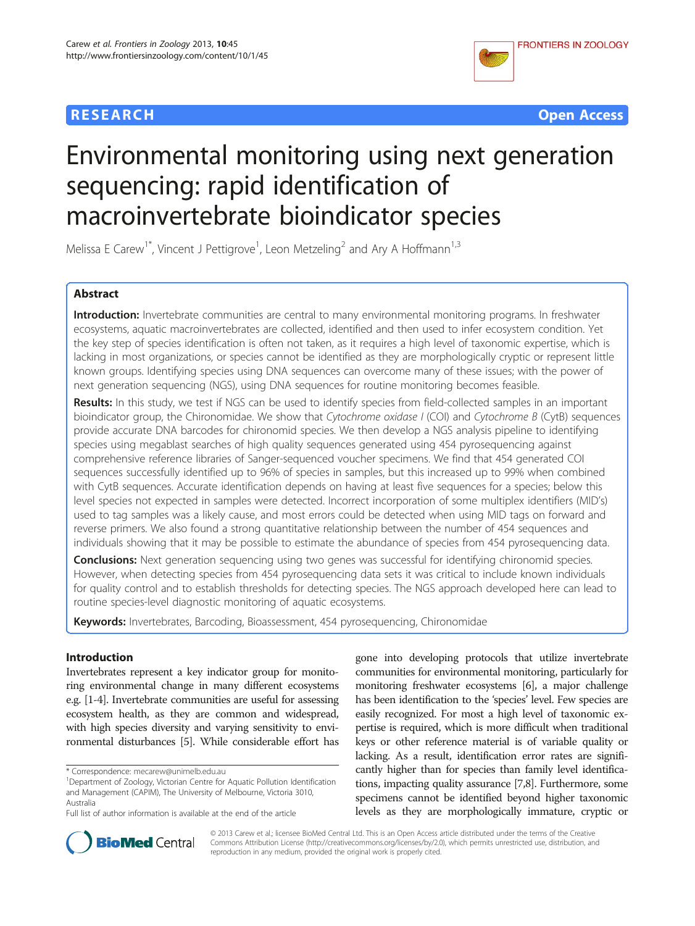



# Environmental monitoring using next generation sequencing: rapid identification of macroinvertebrate bioindicator species

Melissa E Carew<sup>1\*</sup>, Vincent J Pettigrove<sup>1</sup>, Leon Metzeling<sup>2</sup> and Ary A Hoffmann<sup>1,3</sup>

# Abstract

Introduction: Invertebrate communities are central to many environmental monitoring programs. In freshwater ecosystems, aquatic macroinvertebrates are collected, identified and then used to infer ecosystem condition. Yet the key step of species identification is often not taken, as it requires a high level of taxonomic expertise, which is lacking in most organizations, or species cannot be identified as they are morphologically cryptic or represent little known groups. Identifying species using DNA sequences can overcome many of these issues; with the power of next generation sequencing (NGS), using DNA sequences for routine monitoring becomes feasible.

Results: In this study, we test if NGS can be used to identify species from field-collected samples in an important bioindicator group, the Chironomidae. We show that Cytochrome oxidase I (COI) and Cytochrome B (CytB) sequences provide accurate DNA barcodes for chironomid species. We then develop a NGS analysis pipeline to identifying species using megablast searches of high quality sequences generated using 454 pyrosequencing against comprehensive reference libraries of Sanger-sequenced voucher specimens. We find that 454 generated COI sequences successfully identified up to 96% of species in samples, but this increased up to 99% when combined with CytB sequences. Accurate identification depends on having at least five sequences for a species; below this level species not expected in samples were detected. Incorrect incorporation of some multiplex identifiers (MID's) used to tag samples was a likely cause, and most errors could be detected when using MID tags on forward and reverse primers. We also found a strong quantitative relationship between the number of 454 sequences and individuals showing that it may be possible to estimate the abundance of species from 454 pyrosequencing data.

**Conclusions:** Next generation sequencing using two genes was successful for identifying chironomid species. However, when detecting species from 454 pyrosequencing data sets it was critical to include known individuals for quality control and to establish thresholds for detecting species. The NGS approach developed here can lead to routine species-level diagnostic monitoring of aquatic ecosystems.

Keywords: Invertebrates, Barcoding, Bioassessment, 454 pyrosequencing, Chironomidae

# Introduction

Invertebrates represent a key indicator group for monitoring environmental change in many different ecosystems e.g. [\[1-4](#page-12-0)]. Invertebrate communities are useful for assessing ecosystem health, as they are common and widespread, with high species diversity and varying sensitivity to environmental disturbances [[5](#page-12-0)]. While considerable effort has

gone into developing protocols that utilize invertebrate communities for environmental monitoring, particularly for monitoring freshwater ecosystems [[6](#page-12-0)], a major challenge has been identification to the 'species' level. Few species are easily recognized. For most a high level of taxonomic expertise is required, which is more difficult when traditional keys or other reference material is of variable quality or lacking. As a result, identification error rates are significantly higher than for species than family level identifications, impacting quality assurance [[7,8](#page-12-0)]. Furthermore, some specimens cannot be identified beyond higher taxonomic levels as they are morphologically immature, cryptic or



© 2013 Carew et al.; licensee BioMed Central Ltd. This is an Open Access article distributed under the terms of the Creative Commons Attribution License [\(http://creativecommons.org/licenses/by/2.0\)](http://creativecommons.org/licenses/by/2.0), which permits unrestricted use, distribution, and reproduction in any medium, provided the original work is properly cited.

<sup>\*</sup> Correspondence: [mecarew@unimelb.edu.au](mailto:mecarew@unimelb.edu.au) <sup>1</sup>

Department of Zoology, Victorian Centre for Aquatic Pollution Identification and Management (CAPIM), The University of Melbourne, Victoria 3010, Australia

Full list of author information is available at the end of the article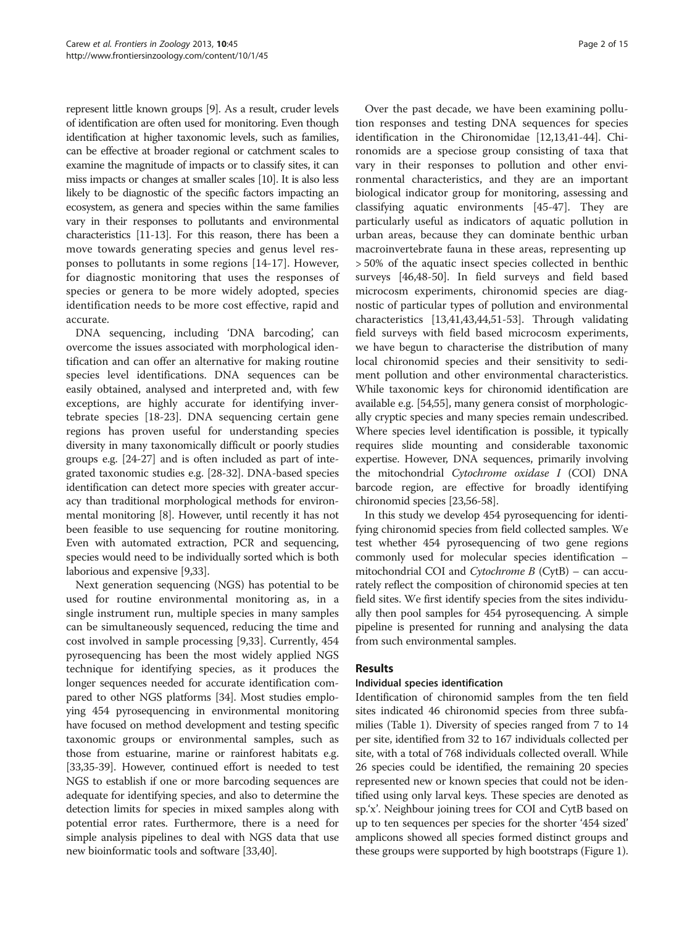represent little known groups [[9](#page-13-0)]. As a result, cruder levels of identification are often used for monitoring. Even though identification at higher taxonomic levels, such as families, can be effective at broader regional or catchment scales to examine the magnitude of impacts or to classify sites, it can miss impacts or changes at smaller scales [\[10\]](#page-13-0). It is also less likely to be diagnostic of the specific factors impacting an ecosystem, as genera and species within the same families vary in their responses to pollutants and environmental characteristics [[11-13\]](#page-13-0). For this reason, there has been a move towards generating species and genus level responses to pollutants in some regions [\[14](#page-13-0)-[17\]](#page-13-0). However, for diagnostic monitoring that uses the responses of species or genera to be more widely adopted, species identification needs to be more cost effective, rapid and accurate.

DNA sequencing, including 'DNA barcoding', can overcome the issues associated with morphological identification and can offer an alternative for making routine species level identifications. DNA sequences can be easily obtained, analysed and interpreted and, with few exceptions, are highly accurate for identifying invertebrate species [\[18-23](#page-13-0)]. DNA sequencing certain gene regions has proven useful for understanding species diversity in many taxonomically difficult or poorly studies groups e.g. [[24](#page-13-0)-[27](#page-13-0)] and is often included as part of integrated taxonomic studies e.g. [[28](#page-13-0)-[32\]](#page-13-0). DNA-based species identification can detect more species with greater accuracy than traditional morphological methods for environmental monitoring [\[8](#page-12-0)]. However, until recently it has not been feasible to use sequencing for routine monitoring. Even with automated extraction, PCR and sequencing, species would need to be individually sorted which is both laborious and expensive [\[9,33](#page-13-0)].

Next generation sequencing (NGS) has potential to be used for routine environmental monitoring as, in a single instrument run, multiple species in many samples can be simultaneously sequenced, reducing the time and cost involved in sample processing [[9,33\]](#page-13-0). Currently, 454 pyrosequencing has been the most widely applied NGS technique for identifying species, as it produces the longer sequences needed for accurate identification compared to other NGS platforms [[34](#page-13-0)]. Most studies employing 454 pyrosequencing in environmental monitoring have focused on method development and testing specific taxonomic groups or environmental samples, such as those from estuarine, marine or rainforest habitats e.g. [[33,35](#page-13-0)-[39](#page-13-0)]. However, continued effort is needed to test NGS to establish if one or more barcoding sequences are adequate for identifying species, and also to determine the detection limits for species in mixed samples along with potential error rates. Furthermore, there is a need for simple analysis pipelines to deal with NGS data that use new bioinformatic tools and software [[33,40](#page-13-0)].

Over the past decade, we have been examining pollution responses and testing DNA sequences for species identification in the Chironomidae [[12](#page-13-0),[13](#page-13-0),[41](#page-13-0)-[44\]](#page-13-0). Chironomids are a speciose group consisting of taxa that vary in their responses to pollution and other environmental characteristics, and they are an important biological indicator group for monitoring, assessing and classifying aquatic environments [\[45](#page-13-0)-[47](#page-13-0)]. They are particularly useful as indicators of aquatic pollution in urban areas, because they can dominate benthic urban macroinvertebrate fauna in these areas, representing up > 50% of the aquatic insect species collected in benthic surveys [[46,48-50](#page-13-0)]. In field surveys and field based microcosm experiments, chironomid species are diagnostic of particular types of pollution and environmental characteristics [\[13,41,43,44,51-53\]](#page-13-0). Through validating field surveys with field based microcosm experiments, we have begun to characterise the distribution of many local chironomid species and their sensitivity to sediment pollution and other environmental characteristics. While taxonomic keys for chironomid identification are available e.g. [\[54,55\]](#page-13-0), many genera consist of morphologically cryptic species and many species remain undescribed. Where species level identification is possible, it typically requires slide mounting and considerable taxonomic expertise. However, DNA sequences, primarily involving the mitochondrial Cytochrome oxidase I (COI) DNA barcode region, are effective for broadly identifying chironomid species [[23](#page-13-0)[,56](#page-14-0)-[58](#page-14-0)].

In this study we develop 454 pyrosequencing for identifying chironomid species from field collected samples. We test whether 454 pyrosequencing of two gene regions commonly used for molecular species identification – mitochondrial COI and Cytochrome B (CytB) – can accurately reflect the composition of chironomid species at ten field sites. We first identify species from the sites individually then pool samples for 454 pyrosequencing. A simple pipeline is presented for running and analysing the data from such environmental samples.

# Results

# Individual species identification

Identification of chironomid samples from the ten field sites indicated 46 chironomid species from three subfamilies (Table [1\)](#page-2-0). Diversity of species ranged from 7 to 14 per site, identified from 32 to 167 individuals collected per site, with a total of 768 individuals collected overall. While 26 species could be identified, the remaining 20 species represented new or known species that could not be identified using only larval keys. These species are denoted as sp.'x'. Neighbour joining trees for COI and CytB based on up to ten sequences per species for the shorter '454 sized' amplicons showed all species formed distinct groups and these groups were supported by high bootstraps (Figure [1](#page-4-0)).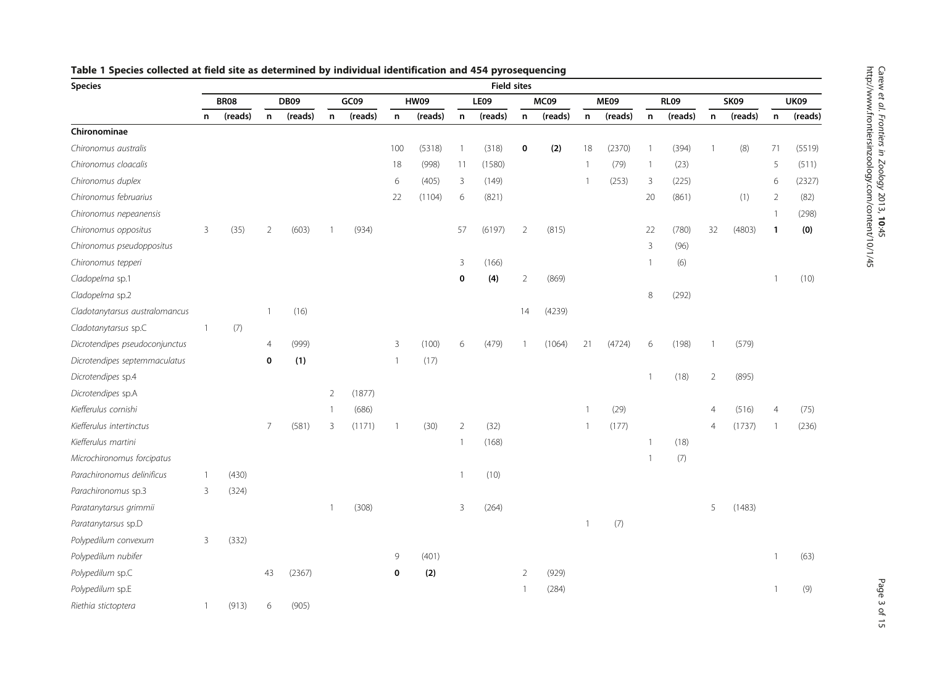| <b>Species</b>                 | <b>Field sites</b> |             |                |             |                |         |                |             |                |         |                |         |                |         |              |             |                |             |              |             |
|--------------------------------|--------------------|-------------|----------------|-------------|----------------|---------|----------------|-------------|----------------|---------|----------------|---------|----------------|---------|--------------|-------------|----------------|-------------|--------------|-------------|
|                                |                    | <b>BR08</b> |                | <b>DB09</b> |                | GC09    |                | <b>HW09</b> |                | LE09    |                | MC09    |                | ME09    |              | <b>RL09</b> |                | <b>SK09</b> |              | <b>UK09</b> |
|                                | n                  | (reads)     | n              | (reads)     | $\mathsf{n}$   | (reads) | n              | (reads)     | n              | (reads) | $\mathsf{n}$   | (reads) | $\mathsf n$    | (reads) | $\mathsf n$  | (reads)     | n              | (reads)     | n            | (reads)     |
| Chironominae                   |                    |             |                |             |                |         |                |             |                |         |                |         |                |         |              |             |                |             |              |             |
| Chironomus australis           |                    |             |                |             |                |         | 100            | (5318)      | $\overline{1}$ | (318)   | $\pmb{0}$      | (2)     | 18             | (2370)  | $\mathbf{1}$ | (394)       | $\overline{1}$ | (8)         | 71           | (5519)      |
| Chironomus cloacalis           |                    |             |                |             |                |         | 18             | (998)       | 11             | (1580)  |                |         | $\mathbf{1}$   | (79)    | $\mathbf{1}$ | (23)        |                |             | 5            | (511)       |
| Chironomus duplex              |                    |             |                |             |                |         | 6              | (405)       | $\overline{3}$ | (149)   |                |         | $\overline{1}$ | (253)   | 3            | (225)       |                |             | 6            | (2327)      |
| Chironomus februarius          |                    |             |                |             |                |         | 22             | (1104)      | 6              | (821)   |                |         |                |         | 20           | (861)       |                | (1)         | 2            | (82)        |
| Chironomus nepeanensis         |                    |             |                |             |                |         |                |             |                |         |                |         |                |         |              |             |                |             | 1            | (298)       |
| Chironomus oppositus           | 3                  | (35)        | $\overline{2}$ | (603)       | 1              | (934)   |                |             | 57             | (6197)  | $\overline{2}$ | (815)   |                |         | 22           | (780)       | 32             | (4803)      | $\mathbf{1}$ | (0)         |
| Chironomus pseudoppositus      |                    |             |                |             |                |         |                |             |                |         |                |         |                |         | 3            | (96)        |                |             |              |             |
| Chironomus tepperi             |                    |             |                |             |                |         |                |             | 3              | (166)   |                |         |                |         | -1           | (6)         |                |             |              |             |
| Cladopelma sp.1                |                    |             |                |             |                |         |                |             | $\mathbf 0$    | (4)     | $\overline{2}$ | (869)   |                |         |              |             |                |             |              | (10)        |
| Cladopelma sp.2                |                    |             |                |             |                |         |                |             |                |         |                |         |                |         | $\,8\,$      | (292)       |                |             |              |             |
| Cladotanytarsus australomancus |                    |             |                | (16)        |                |         |                |             |                |         | 14             | (4239)  |                |         |              |             |                |             |              |             |
| Cladotanytarsus sp.C           | $\overline{1}$     | (7)         |                |             |                |         |                |             |                |         |                |         |                |         |              |             |                |             |              |             |
| Dicrotendipes pseudoconjunctus |                    |             | 4              | (999)       |                |         | 3              | (100)       | 6              | (479)   |                | (1064)  | 21             | (4724)  | 6            | (198)       | $\overline{1}$ | (579)       |              |             |
| Dicrotendipes septemmaculatus  |                    |             | 0              | (1)         |                |         | $\overline{1}$ | (17)        |                |         |                |         |                |         |              |             |                |             |              |             |
| Dicrotendipes sp.4             |                    |             |                |             |                |         |                |             |                |         |                |         |                |         | $\mathbf{1}$ | (18)        | $\overline{2}$ | (895)       |              |             |
| Dicrotendipes sp.A             |                    |             |                |             | $\overline{2}$ | (1877)  |                |             |                |         |                |         |                |         |              |             |                |             |              |             |
| Kiefferulus cornishi           |                    |             |                |             | $\mathbf{1}$   | (686)   |                |             |                |         |                |         | $\overline{1}$ | (29)    |              |             | 4              | (516)       | 4            | (75)        |
| Kiefferulus intertinctus       |                    |             | $\overline{7}$ | (581)       | 3              | (1171)  | $\overline{1}$ | (30)        | $\overline{2}$ | (32)    |                |         |                | (177)   |              |             | 4              | (1737)      | 1            | (236)       |
| Kiefferulus martini            |                    |             |                |             |                |         |                |             | $\overline{1}$ | (168)   |                |         |                |         | $\mathbf{1}$ | (18)        |                |             |              |             |
| Microchironomus forcipatus     |                    |             |                |             |                |         |                |             |                |         |                |         |                |         | $\mathbf{1}$ | (7)         |                |             |              |             |
| Parachironomus delinificus     | $\overline{1}$     | (430)       |                |             |                |         |                |             | 1              | (10)    |                |         |                |         |              |             |                |             |              |             |
| Parachironomus sp.3            | 3                  | (324)       |                |             |                |         |                |             |                |         |                |         |                |         |              |             |                |             |              |             |
| Paratanytarsus grimmii         |                    |             |                |             | $\mathbf{1}$   | (308)   |                |             | 3              | (264)   |                |         |                |         |              |             | 5              | (1483)      |              |             |
| Paratanytarsus sp.D            |                    |             |                |             |                |         |                |             |                |         |                |         | $\overline{1}$ | (7)     |              |             |                |             |              |             |
| Polypedilum convexum           | 3                  | (332)       |                |             |                |         |                |             |                |         |                |         |                |         |              |             |                |             |              |             |
| Polypedilum nubifer            |                    |             |                |             |                |         | 9              | (401)       |                |         |                |         |                |         |              |             |                |             | 1            | (63)        |
| Polypedilum sp.C               |                    |             | 43             | (2367)      |                |         | $\bf{0}$       | (2)         |                |         | $\overline{2}$ | (929)   |                |         |              |             |                |             |              |             |
| Polypedilum sp.E               |                    |             |                |             |                |         |                |             |                |         | $\overline{1}$ | (284)   |                |         |              |             |                |             |              | (9)         |
| Riethia stictoptera            | $\overline{1}$     | (913)       | 6              | (905)       |                |         |                |             |                |         |                |         |                |         |              |             |                |             |              |             |

# <span id="page-2-0"></span>Table 1 Species collected at field site as determined by individual identification and 454 pyrosequencing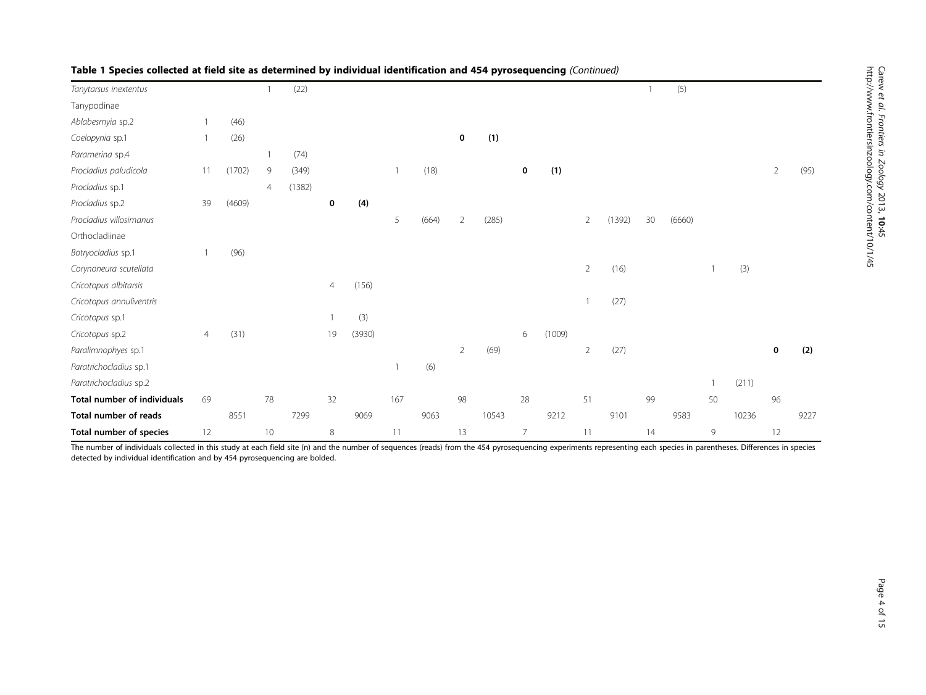| Tanytarsus inextentus              |                |        |                | (22)   |                |        |     |       |                |       |                |        |                |        |    | (5)    |    |       |          |      |
|------------------------------------|----------------|--------|----------------|--------|----------------|--------|-----|-------|----------------|-------|----------------|--------|----------------|--------|----|--------|----|-------|----------|------|
| Tanypodinae                        |                |        |                |        |                |        |     |       |                |       |                |        |                |        |    |        |    |       |          |      |
| Ablabesmyia sp.2                   |                | (46)   |                |        |                |        |     |       |                |       |                |        |                |        |    |        |    |       |          |      |
| Coelopynia sp.1                    |                | (26)   |                |        |                |        |     |       | 0              | (1)   |                |        |                |        |    |        |    |       |          |      |
| Paramerina sp.4                    |                |        |                | (74)   |                |        |     |       |                |       |                |        |                |        |    |        |    |       |          |      |
| Procladius paludicola              | 11             | (1702) | 9              | (349)  |                |        |     | (18)  |                |       | 0              | (1)    |                |        |    |        |    |       | 2        | (95) |
| Procladius sp.1                    |                |        | $\overline{4}$ | (1382) |                |        |     |       |                |       |                |        |                |        |    |        |    |       |          |      |
| Procladius sp.2                    | 39             | (4609) |                |        | 0              | (4)    |     |       |                |       |                |        |                |        |    |        |    |       |          |      |
| Procladius villosimanus            |                |        |                |        |                |        | 5   | (664) | $\overline{2}$ | (285) |                |        | $\overline{2}$ | (1392) | 30 | (6660) |    |       |          |      |
| Orthocladiinae                     |                |        |                |        |                |        |     |       |                |       |                |        |                |        |    |        |    |       |          |      |
| Botryocladius sp.1                 |                | (96)   |                |        |                |        |     |       |                |       |                |        |                |        |    |        |    |       |          |      |
| Corynoneura scutellata             |                |        |                |        |                |        |     |       |                |       |                |        | $\overline{2}$ | (16)   |    |        |    | (3)   |          |      |
| Cricotopus albitarsis              |                |        |                |        | $\overline{4}$ | (156)  |     |       |                |       |                |        |                |        |    |        |    |       |          |      |
| Cricotopus annuliventris           |                |        |                |        |                |        |     |       |                |       |                |        |                | (27)   |    |        |    |       |          |      |
| Cricotopus sp.1                    |                |        |                |        |                | (3)    |     |       |                |       |                |        |                |        |    |        |    |       |          |      |
| Cricotopus sp.2                    | $\overline{4}$ | (31)   |                |        | 19             | (3930) |     |       |                |       | 6              | (1009) |                |        |    |        |    |       |          |      |
| Paralimnophyes sp.1                |                |        |                |        |                |        |     |       | 2              | (69)  |                |        | $\overline{2}$ | (27)   |    |        |    |       | $\bf{0}$ | (2)  |
| Paratrichocladius sp.1             |                |        |                |        |                |        |     | (6)   |                |       |                |        |                |        |    |        |    |       |          |      |
| Paratrichocladius sp.2             |                |        |                |        |                |        |     |       |                |       |                |        |                |        |    |        |    | (211) |          |      |
| <b>Total number of individuals</b> | 69             |        | 78             |        | 32             |        | 167 |       | 98             |       | 28             |        | 51             |        | 99 |        | 50 |       | 96       |      |
| Total number of reads              |                | 8551   |                | 7299   |                | 9069   |     | 9063  |                | 10543 |                | 9212   |                | 9101   |    | 9583   |    | 10236 |          | 9227 |
| Total number of species            | 12             |        | 10             |        | 8              |        | 11  |       | 13             |       | $\overline{7}$ |        | 11             |        | 14 |        | 9  |       | 12       |      |

# Table 1 Species collected at field site as determined by individual identification and 454 pyrosequencing (Continued)

The number of individuals collected in this study at each field site (n) and the number of sequences (reads) from the 454 pyrosequencing experiments representing each species in parentheses. Differences in species detected by individual identification and by 454 pyrosequencing are bolded.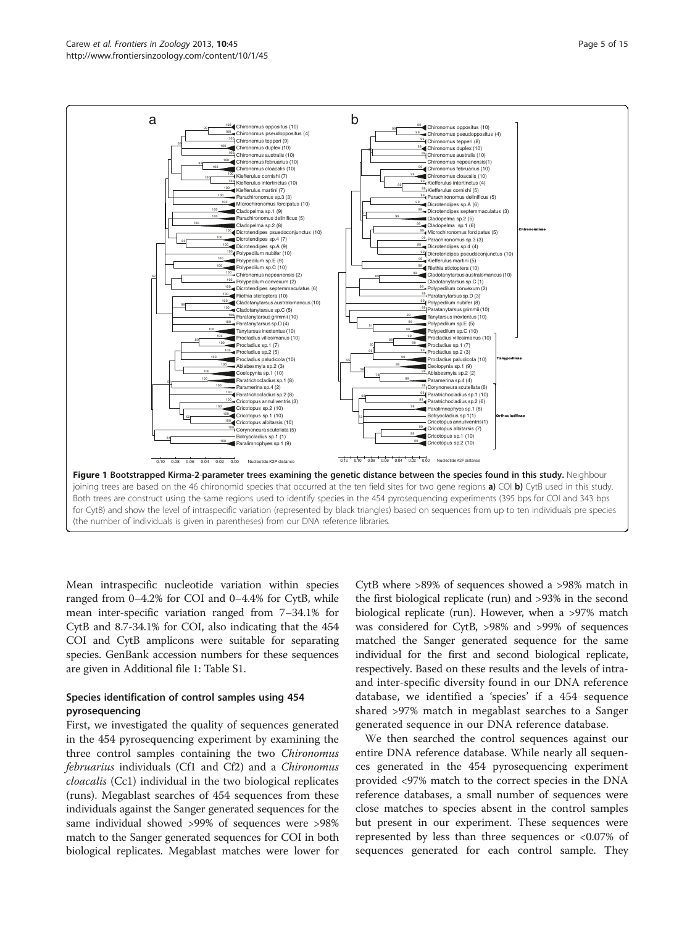<span id="page-4-0"></span>

Mean intraspecific nucleotide variation within species ranged from 0–4.2% for COI and 0–4.4% for CytB, while mean inter-specific variation ranged from 7–34.1% for CytB and 8.7-34.1% for COI, also indicating that the 454 COI and CytB amplicons were suitable for separating species. GenBank accession numbers for these sequences are given in Additional file [1](#page-12-0): Table S1.

# Species identification of control samples using 454 pyrosequencing

First, we investigated the quality of sequences generated in the 454 pyrosequencing experiment by examining the three control samples containing the two Chironomus februarius individuals (Cf1 and Cf2) and a Chironomus cloacalis (Cc1) individual in the two biological replicates (runs). Megablast searches of 454 sequences from these individuals against the Sanger generated sequences for the same individual showed >99% of sequences were >98% match to the Sanger generated sequences for COI in both biological replicates. Megablast matches were lower for CytB where >89% of sequences showed a >98% match in the first biological replicate (run) and >93% in the second biological replicate (run). However, when a >97% match was considered for CytB, >98% and >99% of sequences matched the Sanger generated sequence for the same individual for the first and second biological replicate, respectively. Based on these results and the levels of intraand inter-specific diversity found in our DNA reference database, we identified a 'species' if a 454 sequence shared >97% match in megablast searches to a Sanger generated sequence in our DNA reference database.

We then searched the control sequences against our entire DNA reference database. While nearly all sequences generated in the 454 pyrosequencing experiment provided <97% match to the correct species in the DNA reference databases, a small number of sequences were close matches to species absent in the control samples but present in our experiment. These sequences were represented by less than three sequences or <0.07% of sequences generated for each control sample. They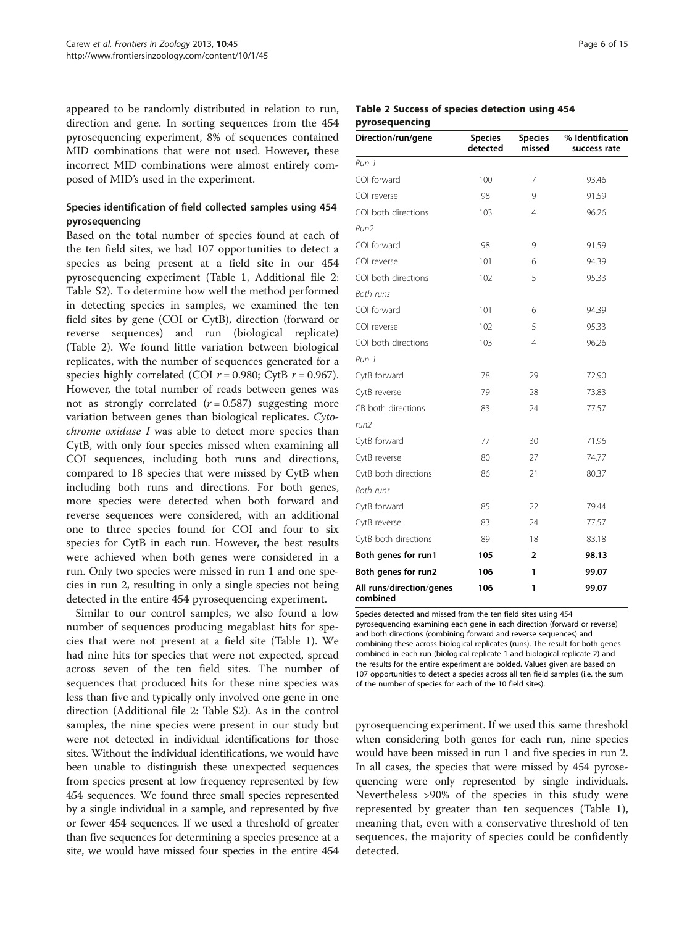appeared to be randomly distributed in relation to run, direction and gene. In sorting sequences from the 454 pyrosequencing experiment, 8% of sequences contained MID combinations that were not used. However, these incorrect MID combinations were almost entirely composed of MID's used in the experiment.

# Species identification of field collected samples using 454 pyrosequencing

Based on the total number of species found at each of the ten field sites, we had 107 opportunities to detect a species as being present at a field site in our 454 pyrosequencing experiment (Table [1,](#page-2-0) Additional file [2](#page-12-0): Table S2). To determine how well the method performed in detecting species in samples, we examined the ten field sites by gene (COI or CytB), direction (forward or reverse sequences) and run (biological replicate) (Table 2). We found little variation between biological replicates, with the number of sequences generated for a species highly correlated (COI  $r = 0.980$ ; CytB  $r = 0.967$ ). However, the total number of reads between genes was not as strongly correlated  $(r = 0.587)$  suggesting more variation between genes than biological replicates. Cytochrome oxidase I was able to detect more species than CytB, with only four species missed when examining all COI sequences, including both runs and directions, compared to 18 species that were missed by CytB when including both runs and directions. For both genes, more species were detected when both forward and reverse sequences were considered, with an additional one to three species found for COI and four to six species for CytB in each run. However, the best results were achieved when both genes were considered in a run. Only two species were missed in run 1 and one species in run 2, resulting in only a single species not being detected in the entire 454 pyrosequencing experiment.

Similar to our control samples, we also found a low number of sequences producing megablast hits for species that were not present at a field site (Table [1\)](#page-2-0). We had nine hits for species that were not expected, spread across seven of the ten field sites. The number of sequences that produced hits for these nine species was less than five and typically only involved one gene in one direction (Additional file [2:](#page-12-0) Table S2). As in the control samples, the nine species were present in our study but were not detected in individual identifications for those sites. Without the individual identifications, we would have been unable to distinguish these unexpected sequences from species present at low frequency represented by few 454 sequences. We found three small species represented by a single individual in a sample, and represented by five or fewer 454 sequences. If we used a threshold of greater than five sequences for determining a species presence at a site, we would have missed four species in the entire 454

|  |                |  | Table 2 Success of species detection using 454 |  |
|--|----------------|--|------------------------------------------------|--|
|  | pyrosequencing |  |                                                |  |

| Direction/run/gene                   | <b>Species</b><br>detected | <b>Species</b><br>missed | % Identification<br>success rate |
|--------------------------------------|----------------------------|--------------------------|----------------------------------|
| Run 1                                |                            |                          |                                  |
| COI forward                          | 100                        | 7                        | 93.46                            |
| COI reverse                          | 98                         | 9                        | 91.59                            |
| COI both directions                  | 103                        | 4                        | 96.26                            |
| Run2                                 |                            |                          |                                  |
| COI forward                          | 98                         | 9                        | 91.59                            |
| COI reverse                          | 101                        | 6                        | 94.39                            |
| COI both directions                  | 102                        | 5                        | 95.33                            |
| Both runs                            |                            |                          |                                  |
| COI forward                          | 101                        | 6                        | 94.39                            |
| COI reverse                          | 102                        | 5                        | 95.33                            |
| COI both directions                  | 103                        | 4                        | 96.26                            |
| Run 1                                |                            |                          |                                  |
| CytB forward                         | 78                         | 29                       | 72.90                            |
| CytB reverse                         | 79                         | 28                       | 73.83                            |
| CB both directions                   | 83                         | 24                       | 77.57                            |
| run2                                 |                            |                          |                                  |
| CytB forward                         | 77                         | 30                       | 71.96                            |
| CytB reverse                         | 80                         | 27                       | 74.77                            |
| CytB both directions                 | 86                         | 21                       | 80.37                            |
| Both runs                            |                            |                          |                                  |
| CytB forward                         | 85                         | 22                       | 79.44                            |
| CytB reverse                         | 83                         | 24                       | 77.57                            |
| CytB both directions                 | 89                         | 18                       | 83.18                            |
| Both genes for run1                  | 105                        | 2                        | 98.13                            |
| Both genes for run2                  | 106                        | 1                        | 99.07                            |
| All runs/direction/genes<br>combined | 106                        | 1                        | 99.07                            |

Species detected and missed from the ten field sites using 454 pyrosequencing examining each gene in each direction (forward or reverse) and both directions (combining forward and reverse sequences) and combining these across biological replicates (runs). The result for both genes combined in each run (biological replicate 1 and biological replicate 2) and the results for the entire experiment are bolded. Values given are based on 107 opportunities to detect a species across all ten field samples (i.e. the sum of the number of species for each of the 10 field sites).

pyrosequencing experiment. If we used this same threshold when considering both genes for each run, nine species would have been missed in run 1 and five species in run 2. In all cases, the species that were missed by 454 pyrosequencing were only represented by single individuals. Nevertheless >90% of the species in this study were represented by greater than ten sequences (Table [1](#page-2-0)), meaning that, even with a conservative threshold of ten sequences, the majority of species could be confidently detected.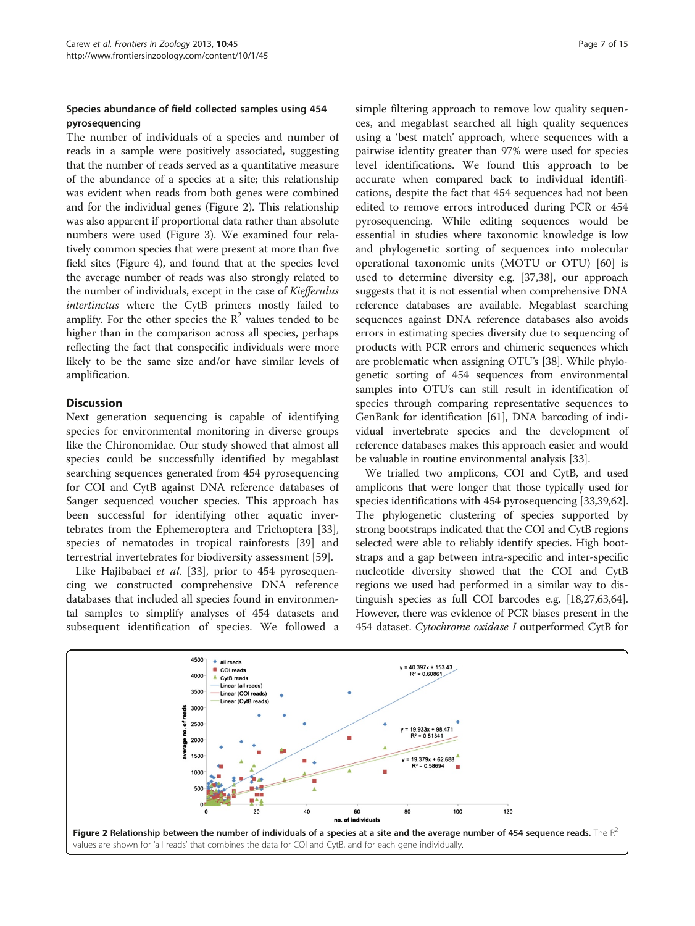# Species abundance of field collected samples using 454 pyrosequencing

The number of individuals of a species and number of reads in a sample were positively associated, suggesting that the number of reads served as a quantitative measure of the abundance of a species at a site; this relationship was evident when reads from both genes were combined and for the individual genes (Figure 2). This relationship was also apparent if proportional data rather than absolute numbers were used (Figure [3](#page-7-0)). We examined four relatively common species that were present at more than five field sites (Figure [4\)](#page-7-0), and found that at the species level the average number of reads was also strongly related to the number of individuals, except in the case of Kiefferulus intertinctus where the CytB primers mostly failed to amplify. For the other species the  $\mathbb{R}^2$  values tended to be higher than in the comparison across all species, perhaps reflecting the fact that conspecific individuals were more likely to be the same size and/or have similar levels of amplification.

# **Discussion**

Next generation sequencing is capable of identifying species for environmental monitoring in diverse groups like the Chironomidae. Our study showed that almost all species could be successfully identified by megablast searching sequences generated from 454 pyrosequencing for COI and CytB against DNA reference databases of Sanger sequenced voucher species. This approach has been successful for identifying other aquatic invertebrates from the Ephemeroptera and Trichoptera [\[33](#page-13-0)], species of nematodes in tropical rainforests [[39\]](#page-13-0) and terrestrial invertebrates for biodiversity assessment [[59](#page-14-0)].

Like Hajibabaei et al. [[33](#page-13-0)], prior to 454 pyrosequencing we constructed comprehensive DNA reference databases that included all species found in environmental samples to simplify analyses of 454 datasets and subsequent identification of species. We followed a

simple filtering approach to remove low quality sequences, and megablast searched all high quality sequences using a 'best match' approach, where sequences with a pairwise identity greater than 97% were used for species level identifications. We found this approach to be accurate when compared back to individual identifications, despite the fact that 454 sequences had not been edited to remove errors introduced during PCR or 454 pyrosequencing. While editing sequences would be essential in studies where taxonomic knowledge is low and phylogenetic sorting of sequences into molecular operational taxonomic units (MOTU or OTU) [\[60](#page-14-0)] is used to determine diversity e.g. [\[37,38](#page-13-0)], our approach suggests that it is not essential when comprehensive DNA reference databases are available. Megablast searching sequences against DNA reference databases also avoids errors in estimating species diversity due to sequencing of products with PCR errors and chimeric sequences which are problematic when assigning OTU's [[38](#page-13-0)]. While phylogenetic sorting of 454 sequences from environmental samples into OTU's can still result in identification of species through comparing representative sequences to GenBank for identification [\[61](#page-14-0)], DNA barcoding of individual invertebrate species and the development of reference databases makes this approach easier and would be valuable in routine environmental analysis [\[33\]](#page-13-0).

We trialled two amplicons, COI and CytB, and used amplicons that were longer that those typically used for species identifications with 454 pyrosequencing [\[33,39,](#page-13-0)[62](#page-14-0)]. The phylogenetic clustering of species supported by strong bootstraps indicated that the COI and CytB regions selected were able to reliably identify species. High bootstraps and a gap between intra-specific and inter-specific nucleotide diversity showed that the COI and CytB regions we used had performed in a similar way to distinguish species as full COI barcodes e.g. [[18,27](#page-13-0)[,63,64](#page-14-0)]. However, there was evidence of PCR biases present in the 454 dataset. Cytochrome oxidase I outperformed CytB for

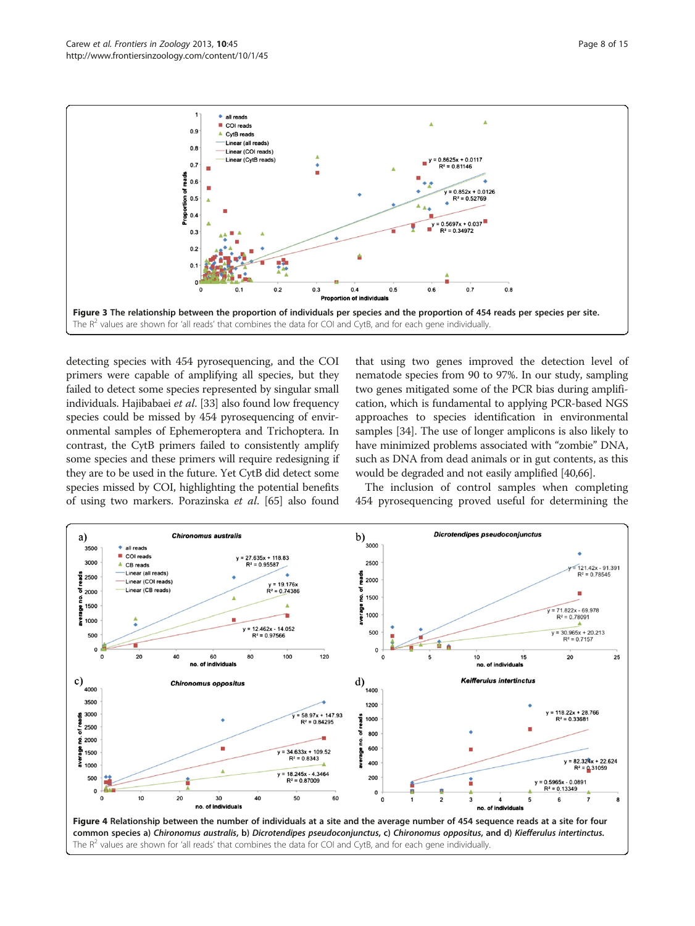<span id="page-7-0"></span>

detecting species with 454 pyrosequencing, and the COI primers were capable of amplifying all species, but they failed to detect some species represented by singular small individuals. Hajibabaei et al. [[33](#page-13-0)] also found low frequency species could be missed by 454 pyrosequencing of environmental samples of Ephemeroptera and Trichoptera. In contrast, the CytB primers failed to consistently amplify some species and these primers will require redesigning if they are to be used in the future. Yet CytB did detect some species missed by COI, highlighting the potential benefits of using two markers. Porazinska et al. [[65](#page-14-0)] also found

that using two genes improved the detection level of nematode species from 90 to 97%. In our study, sampling two genes mitigated some of the PCR bias during amplification, which is fundamental to applying PCR-based NGS approaches to species identification in environmental samples [[34](#page-13-0)]. The use of longer amplicons is also likely to have minimized problems associated with "zombie" DNA, such as DNA from dead animals or in gut contents, as this would be degraded and not easily amplified [[40](#page-13-0)[,66](#page-14-0)].

The inclusion of control samples when completing 454 pyrosequencing proved useful for determining the

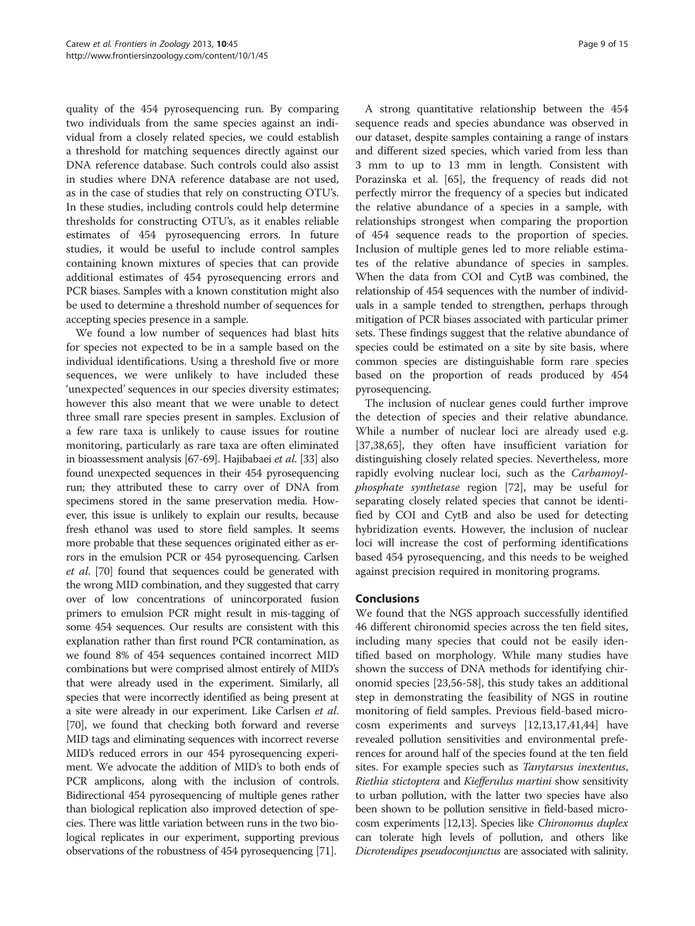quality of the 454 pyrosequencing run. By comparing two individuals from the same species against an individual from a closely related species, we could establish a threshold for matching sequences directly against our DNA reference database. Such controls could also assist in studies where DNA reference database are not used, as in the case of studies that rely on constructing OTU's. In these studies, including controls could help determine thresholds for constructing OTU's, as it enables reliable estimates of 454 pyrosequencing errors. In future studies, it would be useful to include control samples containing known mixtures of species that can provide additional estimates of 454 pyrosequencing errors and PCR biases. Samples with a known constitution might also be used to determine a threshold number of sequences for accepting species presence in a sample.

We found a low number of sequences had blast hits for species not expected to be in a sample based on the individual identifications. Using a threshold five or more sequences, we were unlikely to have included these 'unexpected' sequences in our species diversity estimates; however this also meant that we were unable to detect three small rare species present in samples. Exclusion of a few rare taxa is unlikely to cause issues for routine monitoring, particularly as rare taxa are often eliminated in bioassessment analysis [\[67-69\]](#page-14-0). Hajibabaei et al. [\[33\]](#page-13-0) also found unexpected sequences in their 454 pyrosequencing run; they attributed these to carry over of DNA from specimens stored in the same preservation media. However, this issue is unlikely to explain our results, because fresh ethanol was used to store field samples. It seems more probable that these sequences originated either as errors in the emulsion PCR or 454 pyrosequencing. Carlsen et al. [\[70\]](#page-14-0) found that sequences could be generated with the wrong MID combination, and they suggested that carry over of low concentrations of unincorporated fusion primers to emulsion PCR might result in mis-tagging of some 454 sequences. Our results are consistent with this explanation rather than first round PCR contamination, as we found 8% of 454 sequences contained incorrect MID combinations but were comprised almost entirely of MID's that were already used in the experiment. Similarly, all species that were incorrectly identified as being present at a site were already in our experiment. Like Carlsen et al. [[70](#page-14-0)], we found that checking both forward and reverse MID tags and eliminating sequences with incorrect reverse MID's reduced errors in our 454 pyrosequencing experiment. We advocate the addition of MID's to both ends of PCR amplicons, along with the inclusion of controls. Bidirectional 454 pyrosequencing of multiple genes rather than biological replication also improved detection of species. There was little variation between runs in the two biological replicates in our experiment, supporting previous observations of the robustness of 454 pyrosequencing [[71](#page-14-0)].

A strong quantitative relationship between the 454 sequence reads and species abundance was observed in our dataset, despite samples containing a range of instars and different sized species, which varied from less than 3 mm to up to 13 mm in length. Consistent with Porazinska et al. [[65\]](#page-14-0), the frequency of reads did not perfectly mirror the frequency of a species but indicated the relative abundance of a species in a sample, with relationships strongest when comparing the proportion of 454 sequence reads to the proportion of species. Inclusion of multiple genes led to more reliable estimates of the relative abundance of species in samples. When the data from COI and CytB was combined, the relationship of 454 sequences with the number of individuals in a sample tended to strengthen, perhaps through mitigation of PCR biases associated with particular primer sets. These findings suggest that the relative abundance of species could be estimated on a site by site basis, where common species are distinguishable form rare species based on the proportion of reads produced by 454 pyrosequencing.

The inclusion of nuclear genes could further improve the detection of species and their relative abundance. While a number of nuclear loci are already used e.g. [[37,38,](#page-13-0)[65\]](#page-14-0), they often have insufficient variation for distinguishing closely related species. Nevertheless, more rapidly evolving nuclear loci, such as the Carbamoylphosphate synthetase region [[72\]](#page-14-0), may be useful for separating closely related species that cannot be identified by COI and CytB and also be used for detecting hybridization events. However, the inclusion of nuclear loci will increase the cost of performing identifications based 454 pyrosequencing, and this needs to be weighed against precision required in monitoring programs.

# **Conclusions**

We found that the NGS approach successfully identified 46 different chironomid species across the ten field sites, including many species that could not be easily identified based on morphology. While many studies have shown the success of DNA methods for identifying chironomid species [\[23](#page-13-0)[,56](#page-14-0)-[58\]](#page-14-0), this study takes an additional step in demonstrating the feasibility of NGS in routine monitoring of field samples. Previous field-based microcosm experiments and surveys [\[12,13,17,41,44](#page-13-0)] have revealed pollution sensitivities and environmental preferences for around half of the species found at the ten field sites. For example species such as Tanytarsus inextentus, Riethia stictoptera and Kiefferulus martini show sensitivity to urban pollution, with the latter two species have also been shown to be pollution sensitive in field-based microcosm experiments [\[12,13\]](#page-13-0). Species like Chironomus duplex can tolerate high levels of pollution, and others like Dicrotendipes pseudoconjunctus are associated with salinity.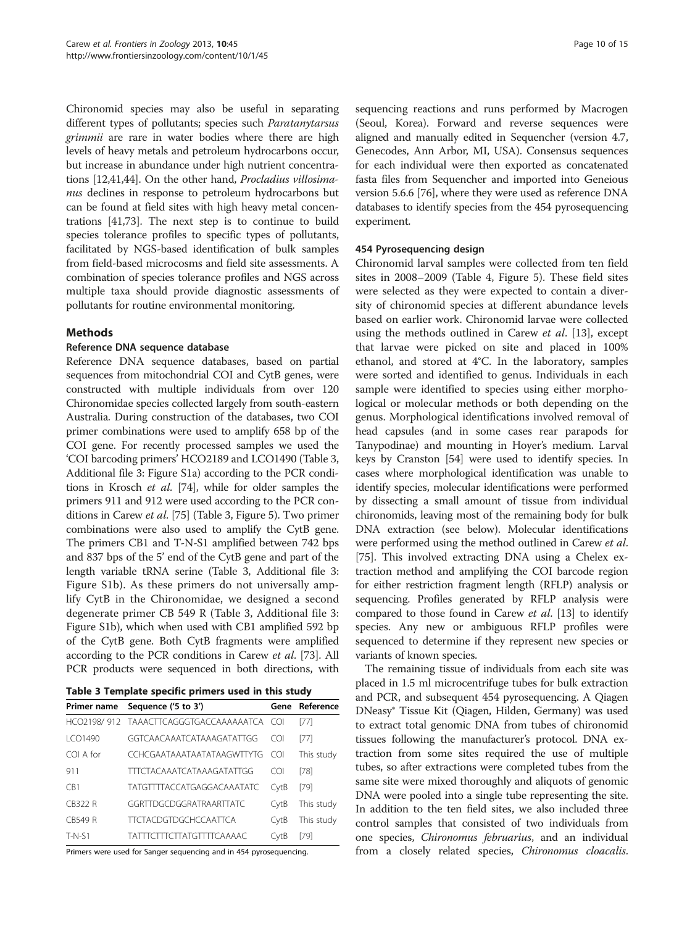<span id="page-9-0"></span>Chironomid species may also be useful in separating different types of pollutants; species such Paratanytarsus grimmii are rare in water bodies where there are high levels of heavy metals and petroleum hydrocarbons occur, but increase in abundance under high nutrient concentrations [[12,41,44\]](#page-13-0). On the other hand, Procladius villosimanus declines in response to petroleum hydrocarbons but can be found at field sites with high heavy metal concentrations [\[41](#page-13-0)[,73\]](#page-14-0). The next step is to continue to build species tolerance profiles to specific types of pollutants, facilitated by NGS-based identification of bulk samples from field-based microcosms and field site assessments. A combination of species tolerance profiles and NGS across multiple taxa should provide diagnostic assessments of pollutants for routine environmental monitoring.

# Methods

### Reference DNA sequence database

Reference DNA sequence databases, based on partial sequences from mitochondrial COI and CytB genes, were constructed with multiple individuals from over 120 Chironomidae species collected largely from south-eastern Australia. During construction of the databases, two COI primer combinations were used to amplify 658 bp of the COI gene. For recently processed samples we used the 'COI barcoding primers' HCO2189 and LCO1490 (Table 3, Additional file [3:](#page-12-0) Figure S1a) according to the PCR conditions in Krosch et al. [\[74](#page-14-0)], while for older samples the primers 911 and 912 were used according to the PCR conditions in Carew et al. [\[75\]](#page-14-0) (Table 3, Figure [5\)](#page-10-0). Two primer combinations were also used to amplify the CytB gene. The primers CB1 and T-N-S1 amplified between 742 bps and 837 bps of the 5' end of the CytB gene and part of the length variable tRNA serine (Table 3, Additional file [3](#page-12-0): Figure S1b). As these primers do not universally amplify CytB in the Chironomidae, we designed a second degenerate primer CB 549 R (Table 3, Additional file [3](#page-12-0): Figure S1b), which when used with CB1 amplified 592 bp of the CytB gene. Both CytB fragments were amplified according to the PCR conditions in Carew *et al.* [[73](#page-14-0)]. All PCR products were sequenced in both directions, with

| Primer name | Sequence ('5 to 3')                        | Gene | Reference  |
|-------------|--------------------------------------------|------|------------|
|             | HCO2198/912 TAAACTTCAGGGTGACCAAAAAATCA COI |      | [77]       |
| ICO1490     | GGTCAACAAATCATAAAGATATTGG                  | COL  | [77]       |
| COI A for   | <b>CCHCGAATAAATAATATAAGWTTYTG</b>          | COL  | This study |
| 911         | <b>TTTCTACAAATCATAAAGATATTGG</b>           | COL  | [78]       |
| CR1         | TATGTTTTACCATGAGGACAAATATC                 | CytB | $[79]$     |
| CB322 R     | GGRTTDGCDGGRATRAARTTATC                    | CytB | This study |
| CB549 R     | <b>TTCTACDGTDGCHCCAATTCA</b>               | CytB | This study |
| $T-N-S1$    | <b>TATTICITICITATGITITCAAAAC</b>           | CvtB | [79]       |

Primers were used for Sanger sequencing and in 454 pyrosequencing.

sequencing reactions and runs performed by Macrogen (Seoul, Korea). Forward and reverse sequences were aligned and manually edited in Sequencher (version 4.7, Genecodes, Ann Arbor, MI, USA). Consensus sequences for each individual were then exported as concatenated fasta files from Sequencher and imported into Geneious version 5.6.6 [[76](#page-14-0)], where they were used as reference DNA databases to identify species from the 454 pyrosequencing experiment.

### 454 Pyrosequencing design

Chironomid larval samples were collected from ten field sites in 2008–2009 (Table [4](#page-11-0), Figure [5\)](#page-10-0). These field sites were selected as they were expected to contain a diversity of chironomid species at different abundance levels based on earlier work. Chironomid larvae were collected using the methods outlined in Carew et al. [\[13](#page-13-0)], except that larvae were picked on site and placed in 100% ethanol, and stored at 4°C. In the laboratory, samples were sorted and identified to genus. Individuals in each sample were identified to species using either morphological or molecular methods or both depending on the genus. Morphological identifications involved removal of head capsules (and in some cases rear parapods for Tanypodinae) and mounting in Hoyer's medium. Larval keys by Cranston [[54](#page-13-0)] were used to identify species. In cases where morphological identification was unable to identify species, molecular identifications were performed by dissecting a small amount of tissue from individual chironomids, leaving most of the remaining body for bulk DNA extraction (see below). Molecular identifications were performed using the method outlined in Carew et al. [[75](#page-14-0)]. This involved extracting DNA using a Chelex extraction method and amplifying the COI barcode region for either restriction fragment length (RFLP) analysis or sequencing. Profiles generated by RFLP analysis were compared to those found in Carew et al. [\[13](#page-13-0)] to identify species. Any new or ambiguous RFLP profiles were sequenced to determine if they represent new species or variants of known species.

The remaining tissue of individuals from each site was placed in 1.5 ml microcentrifuge tubes for bulk extraction and PCR, and subsequent 454 pyrosequencing. A Qiagen DNeasy® Tissue Kit (Qiagen, Hilden, Germany) was used to extract total genomic DNA from tubes of chironomid tissues following the manufacturer's protocol. DNA extraction from some sites required the use of multiple tubes, so after extractions were completed tubes from the same site were mixed thoroughly and aliquots of genomic DNA were pooled into a single tube representing the site. In addition to the ten field sites, we also included three control samples that consisted of two individuals from one species, Chironomus februarius, and an individual from a closely related species, Chironomus cloacalis.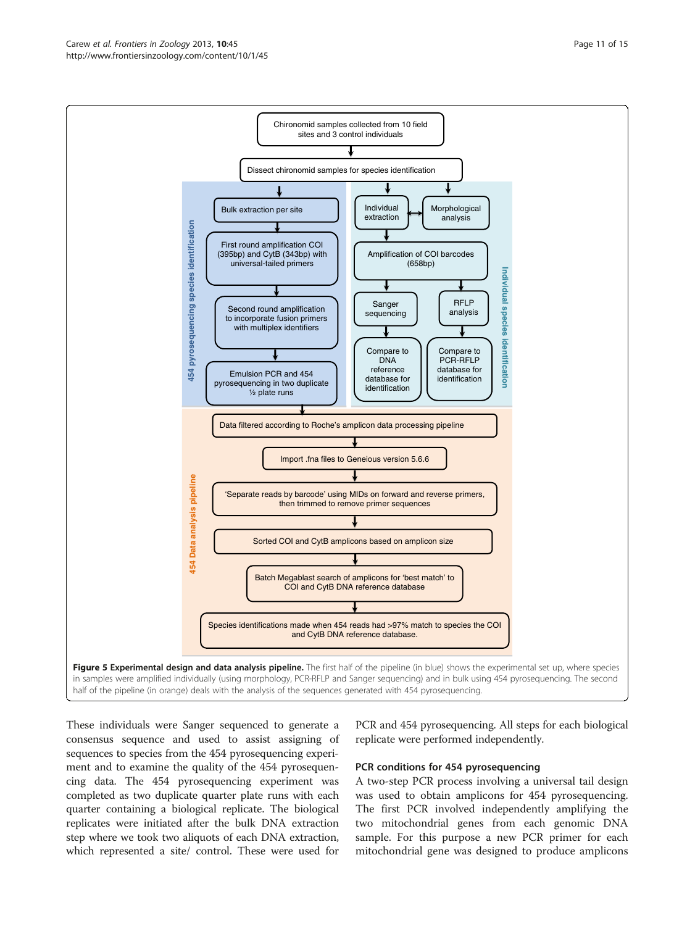<span id="page-10-0"></span>

These individuals were Sanger sequenced to generate a consensus sequence and used to assist assigning of sequences to species from the 454 pyrosequencing experiment and to examine the quality of the 454 pyrosequencing data. The 454 pyrosequencing experiment was completed as two duplicate quarter plate runs with each quarter containing a biological replicate. The biological replicates were initiated after the bulk DNA extraction step where we took two aliquots of each DNA extraction, which represented a site/ control. These were used for

PCR and 454 pyrosequencing. All steps for each biological replicate were performed independently.

# PCR conditions for 454 pyrosequencing

A two-step PCR process involving a universal tail design was used to obtain amplicons for 454 pyrosequencing. The first PCR involved independently amplifying the two mitochondrial genes from each genomic DNA sample. For this purpose a new PCR primer for each mitochondrial gene was designed to produce amplicons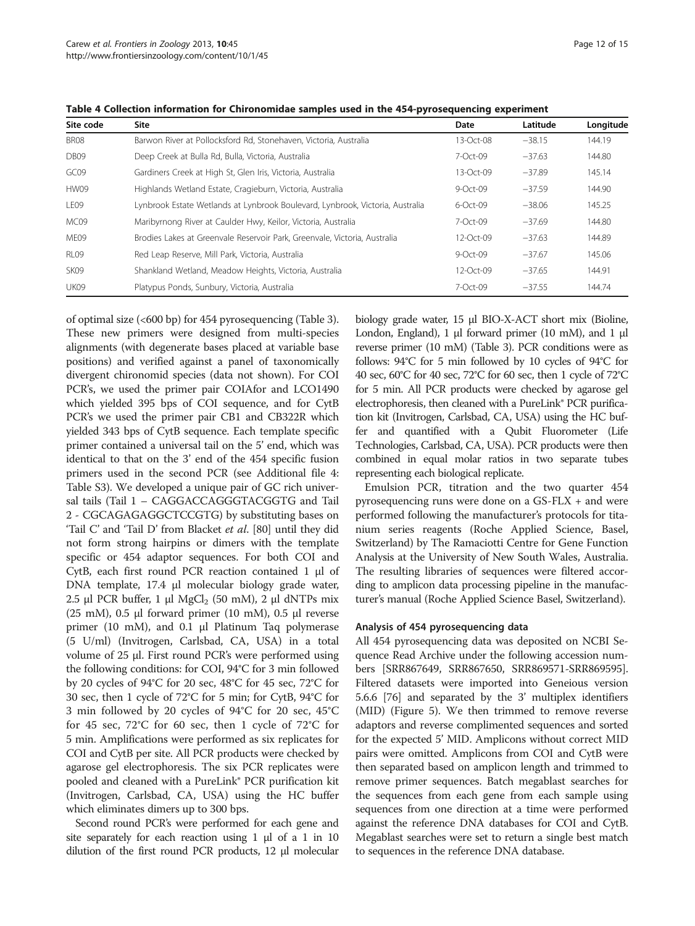| Site code        | Site                                                                          | Date           | Latitude | Longitude |
|------------------|-------------------------------------------------------------------------------|----------------|----------|-----------|
| BR08             | Barwon River at Pollocksford Rd, Stonehaven, Victoria, Australia              | $13-Ort-08$    | $-38.15$ | 144.19    |
| DB <sub>09</sub> | Deep Creek at Bulla Rd, Bulla, Victoria, Australia                            | 7-Oct-09       | $-37.63$ | 144.80    |
| GC09             | Gardiners Creek at High St, Glen Iris, Victoria, Australia                    | $13-Ort-09$    | $-37.89$ | 145.14    |
| HW09             | Highlands Wetland Estate, Cragieburn, Victoria, Australia                     | $9 - Oct - 09$ | $-37.59$ | 144.90    |
| LE09             | Lynbrook Estate Wetlands at Lynbrook Boulevard, Lynbrook, Victoria, Australia | $6-Ort-09$     | $-38.06$ | 145.25    |
| MC09             | Maribyrnong River at Caulder Hwy, Keilor, Victoria, Australia                 | 7-Oct-09       | $-37.69$ | 144.80    |
| MF <sub>09</sub> | Brodies Lakes at Greenvale Reservoir Park, Greenvale, Victoria, Australia     | $12-Ort-09$    | $-37.63$ | 144.89    |
| RI 09            | Red Leap Reserve, Mill Park, Victoria, Australia                              | $9 - Oct - 09$ | $-37.67$ | 145.06    |
| SK <sub>09</sub> | Shankland Wetland, Meadow Heights, Victoria, Australia                        | $12-Ort-09$    | $-37.65$ | 144.91    |
| UK09             | Platypus Ponds, Sunbury, Victoria, Australia                                  | 7-Oct-09       | $-37.55$ | 144.74    |

<span id="page-11-0"></span>Table 4 Collection information for Chironomidae samples used in the 454-pyrosequencing experiment

of optimal size (<600 bp) for 454 pyrosequencing (Table [3](#page-9-0)). These new primers were designed from multi-species alignments (with degenerate bases placed at variable base positions) and verified against a panel of taxonomically divergent chironomid species (data not shown). For COI PCR's, we used the primer pair COIAfor and LCO1490 which yielded 395 bps of COI sequence, and for CytB PCR's we used the primer pair CB1 and CB322R which yielded 343 bps of CytB sequence. Each template specific primer contained a universal tail on the 5' end, which was identical to that on the 3' end of the 454 specific fusion primers used in the second PCR (see Additional file [4](#page-12-0): Table S3). We developed a unique pair of GC rich universal tails (Tail 1 – CAGGACCAGGGTACGGTG and Tail 2 - CGCAGAGAGGCTCCGTG) by substituting bases on 'Tail C' and 'Tail D' from Blacket et al. [[80](#page-14-0)] until they did not form strong hairpins or dimers with the template specific or 454 adaptor sequences. For both COI and CytB, each first round PCR reaction contained 1 μl of DNA template, 17.4 μl molecular biology grade water, 2.5 μl PCR buffer, 1 μl  $MgCl<sub>2</sub>$  (50 mM), 2 μl dNTPs mix (25 mM),  $0.5$  μl forward primer (10 mM),  $0.5$  μl reverse primer (10 mM), and 0.1 μl Platinum Taq polymerase (5 U/ml) (Invitrogen, Carlsbad, CA, USA) in a total volume of 25 μl. First round PCR's were performed using the following conditions: for COI, 94°C for 3 min followed by 20 cycles of 94°C for 20 sec, 48°C for 45 sec, 72°C for 30 sec, then 1 cycle of 72°C for 5 min; for CytB, 94°C for 3 min followed by 20 cycles of 94°C for 20 sec, 45°C for 45 sec, 72°C for 60 sec, then 1 cycle of 72°C for 5 min. Amplifications were performed as six replicates for COI and CytB per site. All PCR products were checked by agarose gel electrophoresis. The six PCR replicates were pooled and cleaned with a PureLink® PCR purification kit (Invitrogen, Carlsbad, CA, USA) using the HC buffer which eliminates dimers up to 300 bps.

Second round PCR's were performed for each gene and site separately for each reaction using  $1 \mu$  of a  $1 \text{ in } 10$ dilution of the first round PCR products, 12 μl molecular biology grade water, 15 μl BIO-X-ACT short mix (Bioline, London, England), 1 μl forward primer (10 mM), and 1 μl reverse primer (10 mM) (Table [3\)](#page-9-0). PCR conditions were as follows: 94°C for 5 min followed by 10 cycles of 94°C for 40 sec, 60°C for 40 sec, 72°C for 60 sec, then 1 cycle of 72°C for 5 min. All PCR products were checked by agarose gel electrophoresis, then cleaned with a PureLink® PCR purification kit (Invitrogen, Carlsbad, CA, USA) using the HC buffer and quantified with a Qubit Fluorometer (Life Technologies, Carlsbad, CA, USA). PCR products were then combined in equal molar ratios in two separate tubes representing each biological replicate.

Emulsion PCR, titration and the two quarter 454 pyrosequencing runs were done on a GS-FLX + and were performed following the manufacturer's protocols for titanium series reagents (Roche Applied Science, Basel, Switzerland) by The Ramaciotti Centre for Gene Function Analysis at the University of New South Wales, Australia. The resulting libraries of sequences were filtered according to amplicon data processing pipeline in the manufacturer's manual (Roche Applied Science Basel, Switzerland).

#### Analysis of 454 pyrosequencing data

All 454 pyrosequencing data was deposited on NCBI Sequence Read Archive under the following accession numbers [SRR867649, SRR867650, SRR869571-SRR869595]. Filtered datasets were imported into Geneious version 5.6.6 [\[76](#page-14-0)] and separated by the 3' multiplex identifiers (MID) (Figure [5\)](#page-10-0). We then trimmed to remove reverse adaptors and reverse complimented sequences and sorted for the expected 5' MID. Amplicons without correct MID pairs were omitted. Amplicons from COI and CytB were then separated based on amplicon length and trimmed to remove primer sequences. Batch megablast searches for the sequences from each gene from each sample using sequences from one direction at a time were performed against the reference DNA databases for COI and CytB. Megablast searches were set to return a single best match to sequences in the reference DNA database.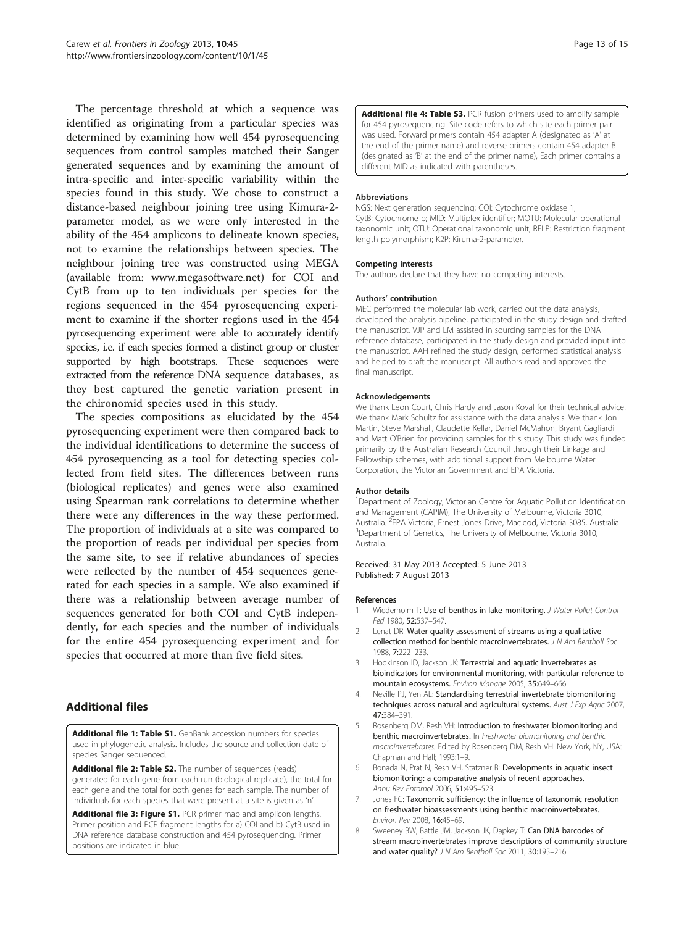<span id="page-12-0"></span>The percentage threshold at which a sequence was identified as originating from a particular species was determined by examining how well 454 pyrosequencing sequences from control samples matched their Sanger generated sequences and by examining the amount of intra-specific and inter-specific variability within the species found in this study. We chose to construct a distance-based neighbour joining tree using Kimura-2 parameter model, as we were only interested in the ability of the 454 amplicons to delineate known species, not to examine the relationships between species. The neighbour joining tree was constructed using MEGA (available from: [www.megasoftware.net\)](http://www.megasoftware.net) for COI and CytB from up to ten individuals per species for the regions sequenced in the 454 pyrosequencing experiment to examine if the shorter regions used in the 454 pyrosequencing experiment were able to accurately identify species, i.e. if each species formed a distinct group or cluster supported by high bootstraps. These sequences were extracted from the reference DNA sequence databases, as they best captured the genetic variation present in the chironomid species used in this study.

The species compositions as elucidated by the 454 pyrosequencing experiment were then compared back to the individual identifications to determine the success of 454 pyrosequencing as a tool for detecting species collected from field sites. The differences between runs (biological replicates) and genes were also examined using Spearman rank correlations to determine whether there were any differences in the way these performed. The proportion of individuals at a site was compared to the proportion of reads per individual per species from the same site, to see if relative abundances of species were reflected by the number of 454 sequences generated for each species in a sample. We also examined if there was a relationship between average number of sequences generated for both COI and CytB independently, for each species and the number of individuals for the entire 454 pyrosequencing experiment and for species that occurred at more than five field sites.

# Additional files

[Additional file 1: Table S1.](http://www.biomedcentral.com/content/supplementary/1742-9994-10-45-S1.docx) GenBank accession numbers for species used in phylogenetic analysis. Includes the source and collection date of species Sanger sequenced.

[Additional file 2: Table S2.](http://www.biomedcentral.com/content/supplementary/1742-9994-10-45-S2.docx) The number of sequences (reads) generated for each gene from each run (biological replicate), the total for each gene and the total for both genes for each sample. The number of individuals for each species that were present at a site is given as 'n'.

[Additional file 3: Figure S1.](http://www.biomedcentral.com/content/supplementary/1742-9994-10-45-S3.docx) PCR primer map and amplicon lengths. Primer position and PCR fragment lengths for a) COI and b) CytB used in DNA reference database construction and 454 pyrosequencing. Primer positions are indicated in blue.

[Additional file 4: Table S3.](http://www.biomedcentral.com/content/supplementary/1742-9994-10-45-S4.docx) PCR fusion primers used to amplify sample for 454 pyrosequencing. Site code refers to which site each primer pair was used. Forward primers contain 454 adapter A (designated as 'A' at the end of the primer name) and reverse primers contain 454 adapter B (designated as 'B' at the end of the primer name), Each primer contains a different MID as indicated with parentheses.

#### Abbreviations

NGS: Next generation sequencing; COI: Cytochrome oxidase 1; CytB: Cytochrome b; MID: Multiplex identifier; MOTU: Molecular operational taxonomic unit; OTU: Operational taxonomic unit; RFLP: Restriction fragment length polymorphism; K2P: Kiruma-2-parameter.

#### Competing interests

The authors declare that they have no competing interests.

#### Authors' contribution

MEC performed the molecular lab work, carried out the data analysis, developed the analysis pipeline, participated in the study design and drafted the manuscript. VJP and LM assisted in sourcing samples for the DNA reference database, participated in the study design and provided input into the manuscript. AAH refined the study design, performed statistical analysis and helped to draft the manuscript. All authors read and approved the final manuscript.

#### Acknowledgements

We thank Leon Court, Chris Hardy and Jason Koval for their technical advice. We thank Mark Schultz for assistance with the data analysis. We thank Jon Martin, Steve Marshall, Claudette Kellar, Daniel McMahon, Bryant Gagliardi and Matt O'Brien for providing samples for this study. This study was funded primarily by the Australian Research Council through their Linkage and Fellowship schemes, with additional support from Melbourne Water Corporation, the Victorian Government and EPA Victoria.

#### Author details

<sup>1</sup>Department of Zoology, Victorian Centre for Aquatic Pollution Identification and Management (CAPIM), The University of Melbourne, Victoria 3010, Australia. <sup>2</sup>EPA Victoria, Ernest Jones Drive, Macleod, Victoria 3085, Australia.<br><sup>3</sup>Department of Genetics The University of Melhourne Victoria 3010. <sup>3</sup>Department of Genetics, The University of Melbourne, Victoria 3010, Australia.

Received: 31 May 2013 Accepted: 5 June 2013 Published: 7 August 2013

#### References

- 1. Wiederholm T: Use of benthos in lake monitoring. J Water Pollut Control Fed 1980, 52:537–547.
- 2. Lenat DR: Water quality assessment of streams using a qualitative collection method for benthic macroinvertebrates. J N Am Bentholl Soc 1988, 7:222–233.
- 3. Hodkinson ID, Jackson JK: Terrestrial and aquatic invertebrates as bioindicators for environmental monitoring, with particular reference to mountain ecosystems. Environ Manage 2005, 35:649–666.
- 4. Neville PJ, Yen AL: Standardising terrestrial invertebrate biomonitoring techniques across natural and agricultural systems. Aust J Exp Agric 2007, 47:384–391.
- 5. Rosenberg DM, Resh VH: Introduction to freshwater biomonitoring and benthic macroinvertebrates. In Freshwater biomonitoring and benthic macroinvertebrates. Edited by Rosenberg DM, Resh VH. New York, NY, USA: Chapman and Hall; 1993:1–9.
- 6. Bonada N, Prat N, Resh VH, Statzner B: Developments in aquatic insect biomonitoring: a comparative analysis of recent approaches. Annu Rev Entomol 2006, 51:495–523.
- 7. Jones FC: Taxonomic sufficiency: the influence of taxonomic resolution on freshwater bioassessments using benthic macroinvertebrates. Environ Rev 2008, 16:45–69.
- 8. Sweeney BW, Battle JM, Jackson JK, Dapkey T: Can DNA barcodes of stream macroinvertebrates improve descriptions of community structure and water quality? J N Am Bentholl Soc 2011, 30:195-216.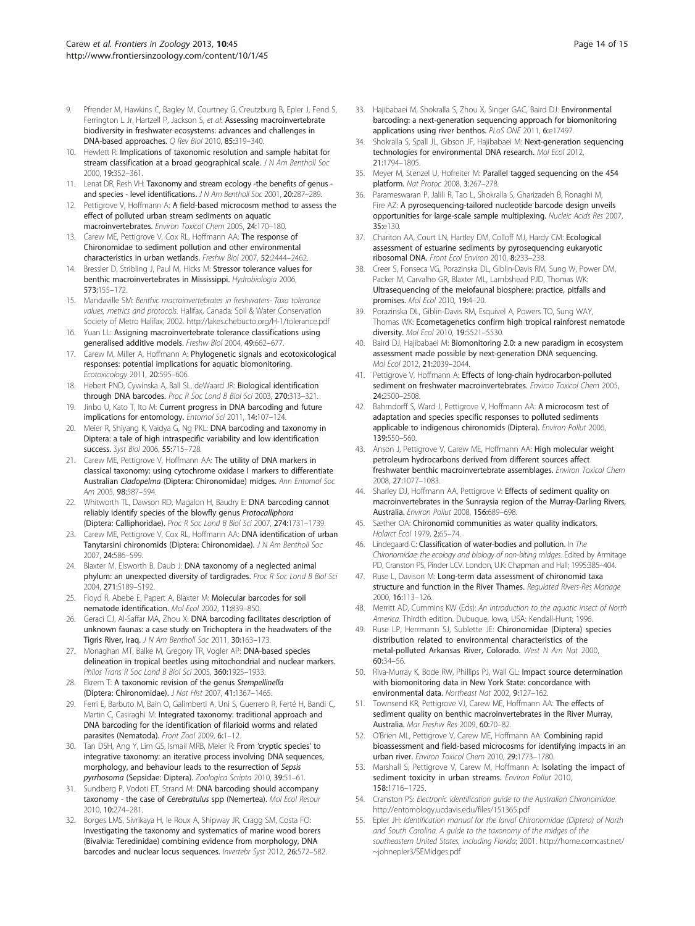- <span id="page-13-0"></span>9. Pfrender M, Hawkins C, Bagley M, Courtney G, Creutzburg B, Epler J, Fend S, Ferrington L Jr, Hartzell P, Jackson S, et al: Assessing macroinvertebrate biodiversity in freshwater ecosystems: advances and challenges in DNA-based approaches. Q Rev Biol 2010, 85:319–340.
- 10. Hewlett R: Implications of taxonomic resolution and sample habitat for stream classification at a broad geographical scale. J N Am Bentholl Soc 2000, 19:352–361.
- 11. Lenat DR, Resh VH: Taxonomy and stream ecology -the benefits of genus and species - level identifications. J N Am Bentholl Soc 2001, 20:287–289.
- 12. Pettigrove V, Hoffmann A: A field-based microcosm method to assess the effect of polluted urban stream sediments on aquatic macroinvertebrates. Environ Toxicol Chem 2005, 24:170–180.
- 13. Carew ME, Pettigrove V, Cox RL, Hoffmann AA: The response of Chironomidae to sediment pollution and other environmental characteristics in urban wetlands. Freshw Biol 2007, 52:2444–2462.
- 14. Bressler D, Stribling J, Paul M, Hicks M: Stressor tolerance values for benthic macroinvertebrates in Mississippi. Hydrobiologia 2006, 573:155–172.
- 15. Mandaville SM: Benthic macroinvertebrates in freshwaters- Taxa tolerance values, metrics and protocols. Halifax, Canada: Soil & Water Conservation Society of Metro Halifax; 2002.<http://lakes.chebucto.org/H-1/tolerance.pdf>
- 16. Yuan LL: Assigning macroinvertebrate tolerance classifications using generalised additive models. Freshw Biol 2004, 49:662–677.
- 17. Carew M, Miller A, Hoffmann A: Phylogenetic signals and ecotoxicological responses: potential implications for aquatic biomonitoring. Ecotoxicology 2011, 20:595–606.
- 18. Hebert PND, Cywinska A, Ball SL, deWaard JR: Biological identification through DNA barcodes. Proc R Soc Lond B Biol Sci 2003, 270:313-321.
- 19. Jinbo U, Kato T, Ito M: Current progress in DNA barcoding and future implications for entomology. Entomol Sci 2011, 14:107–124.
- 20. Meier R, Shiyang K, Vaidya G, Ng PKL: DNA barcoding and taxonomy in Diptera: a tale of high intraspecific variability and low identification success. Syst Biol 2006, 55:715–728.
- 21. Carew ME, Pettigrove V, Hoffmann AA: The utility of DNA markers in classical taxonomy: using cytochrome oxidase I markers to differentiate Australian Cladopelma (Diptera: Chironomidae) midges. Ann Entomol Soc Am 2005, 98:587–594.
- 22. Whitworth TL, Dawson RD, Magalon H, Baudry E: DNA barcoding cannot reliably identify species of the blowfly genus Protocalliphora (Diptera: Calliphoridae). Proc R Soc Lond B Biol Sci 2007, 274:1731–1739.
- 23. Carew ME, Pettigrove V, Cox RL, Hoffmann AA: DNA identification of urban Tanytarsini chironomids (Diptera: Chironomidae). J N Am Bentholl Soc 2007, 24:586–599.
- 24. Blaxter M, Elsworth B, Daub J: DNA taxonomy of a neglected animal phylum: an unexpected diversity of tardigrades. Proc R Soc Lond B Biol Sci 2004, 271:S189–S192.
- 25. Floyd R, Abebe E, Papert A, Blaxter M: Molecular barcodes for soil nematode identification. Mol Ecol 2002, 11:839–850.
- 26. Geraci CJ, Al-Saffar MA, Zhou X: DNA barcoding facilitates description of unknown faunas: a case study on Trichoptera in the headwaters of the Tigris River, Iraq. J N Am Bentholl Soc 2011, 30:163–173.
- 27. Monaghan MT, Balke M, Gregory TR, Vogler AP: DNA-based species delineation in tropical beetles using mitochondrial and nuclear markers. Philos Trans R Soc Lond B Biol Sci 2005, 360:1925-1933.
- 28. Ekrem T: A taxonomic revision of the genus Stempellinella (Diptera: Chironomidae). J Nat Hist 2007, 41:1367–1465.
- 29. Ferri E, Barbuto M, Bain O, Galimberti A, Uni S, Guerrero R, Ferté H, Bandi C, Martin C, Casiraghi M: Integrated taxonomy: traditional approach and DNA barcoding for the identification of filarioid worms and related parasites (Nematoda). Front Zool 2009, 6:1-12.
- 30. Tan DSH, Ang Y, Lim GS, Ismail MRB, Meier R: From 'cryptic species' to integrative taxonomy: an iterative process involving DNA sequences, morphology, and behaviour leads to the resurrection of Sepsis pyrrhosoma (Sepsidae: Diptera). Zoologica Scripta 2010, 39:51–61.
- 31. Sundberg P, Vodoti ET, Strand M: DNA barcoding should accompany taxonomy - the case of Cerebratulus spp (Nemertea). Mol Ecol Resour 2010, 10:274–281.
- 32. Borges LMS, Sivrikaya H, le Roux A, Shipway JR, Cragg SM, Costa FO: Investigating the taxonomy and systematics of marine wood borers (Bivalvia: Teredinidae) combining evidence from morphology, DNA barcodes and nuclear locus sequences. Invertebr Syst 2012, 26:572–582.
- 33. Hajibabaei M, Shokralla S, Zhou X, Singer GAC, Baird DJ: Environmental barcoding: a next-generation sequencing approach for biomonitoring applications using river benthos. PLoS ONE 2011, 6:e17497.
- 34. Shokralla S, Spall JL, Gibson JF, Hajibabaei M: Next-generation sequencing technologies for environmental DNA research. Mol Ecol 2012, 21:1794–1805.
- 35. Meyer M, Stenzel U, Hofreiter M: Parallel tagged sequencing on the 454 platform. Nat Protoc 2008, 3:267-278.
- 36. Parameswaran P, Jalili R, Tao L, Shokralla S, Gharizadeh B, Ronaghi M, Fire AZ: A pyrosequencing-tailored nucleotide barcode design unveils opportunities for large-scale sample multiplexing. Nucleic Acids Res 2007, 35:e130.
- 37. Chariton AA, Court LN, Hartley DM, Colloff MJ, Hardy CM: Ecological assessment of estuarine sediments by pyrosequencing eukaryotic ribosomal DNA. Front Ecol Environ 2010, 8:233–238.
- 38. Creer S, Fonseca VG, Porazinska DL, Giblin-Davis RM, Sung W, Power DM, Packer M, Carvalho GR, Blaxter ML, Lambshead PJD, Thomas WK: Ultrasequencing of the meiofaunal biosphere: practice, pitfalls and promises. Mol Ecol 2010, 19:4–20.
- 39. Porazinska DL, Giblin-Davis RM, Esquivel A, Powers TO, Sung WAY, Thomas WK: Ecometagenetics confirm high tropical rainforest nematode diversity. Mol Ecol 2010, 19:5521–5530.
- 40. Baird DJ, Hajibabaei M: Biomonitoring 2.0: a new paradigm in ecosystem assessment made possible by next-generation DNA sequencing. Mol Ecol 2012, 21:2039–2044.
- 41. Pettigrove V, Hoffmann A: Effects of long-chain hydrocarbon-polluted sediment on freshwater macroinvertebrates. Environ Toxicol Chem 2005, 24:2500–2508.
- Bahrndorff S, Ward J, Pettigrove V, Hoffmann AA: A microcosm test of adaptation and species specific responses to polluted sediments applicable to indigenous chironomids (Diptera). Environ Pollut 2006, 139:550–560.
- 43. Anson J, Pettigrove V, Carew ME, Hoffmann AA: High molecular weight petroleum hydrocarbons derived from different sources affect freshwater benthic macroinvertebrate assemblages. Environ Toxicol Chem 2008, 27:1077–1083.
- 44. Sharley DJ, Hoffmann AA, Pettigrove V: Effects of sediment quality on macroinvertebrates in the Sunraysia region of the Murray-Darling Rivers, Australia. Environ Pollut 2008, 156:689–698.
- 45. Sæther OA: Chironomid communities as water quality indicators. Holarct Ecol 1979, 2:65–74.
- 46. Lindegaard C: Classification of water-bodies and pollution. In The Chironomidae: the ecology and biology of non-biting midges. Edited by Armitage PD, Cranston PS, Pinder LCV. London, U.K: Chapman and Hall; 1995:385–404.
- 47. Ruse L, Davison M: Long-term data assessment of chironomid taxa structure and function in the River Thames. Regulated Rivers-Res Manage 2000, 16:113–126.
- Merritt AD, Cummins KW (Eds): An introduction to the aquatic insect of North America. Thirdth edition. Dubuque, Iowa, USA: Kendall-Hunt; 1996.
- 49. Ruse LP, Herrmann SJ, Sublette JE: Chironomidae (Diptera) species distribution related to environmental characteristics of the metal-polluted Arkansas River, Colorado. West N Am Nat 2000, 60:34–56.
- 50. Riva-Murray K, Bode RW, Phillips PJ, Wall GL: Impact source determination with biomonitoring data in New York State: concordance with environmental data. Northeast Nat 2002, 9:127–162.
- 51. Townsend KR, Pettigrove VJ, Carew ME, Hoffmann AA: The effects of sediment quality on benthic macroinvertebrates in the River Murray, Australia. Mar Freshw Res 2009, 60:70–82.
- 52. O'Brien ML, Pettigrove V, Carew ME, Hoffmann AA: Combining rapid bioassessment and field-based microcosms for identifying impacts in an urban river. Environ Toxicol Chem 2010, 29:1773–1780.
- 53. Marshall S, Pettigrove V, Carew M, Hoffmann A: Isolating the impact of sediment toxicity in urban streams. Environ Pollut 2010, 158:1716–1725.
- 54. Cranston PS: Electronic identification guide to the Australian Chironomidae. <http://entomology.ucdavis.edu/files/151365.pdf>
- 55. Epler JH: Identification manual for the larval Chironomidae (Diptera) of North and South Carolina. A guide to the taxonomy of the midges of the southeastern United States, including Florida; 2001. [http://home.comcast.net/](http://home.comcast.net/~johnepler3/SEMidges.pdf) [~johnepler3/SEMidges.pdf](http://home.comcast.net/~johnepler3/SEMidges.pdf)